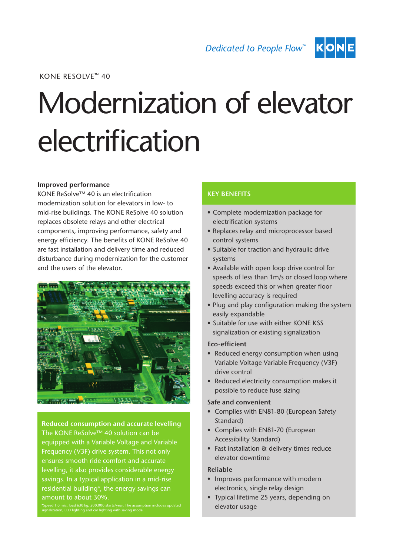Dedicated to People Flow<sup>™</sup>



KONE RESOLVE™ 40

# Modernization of elevator electrification

#### **Improved performance**

KONE ReSolve™ 40 is an electrification modernization solution for elevators in low- to mid-rise buildings. The KONE ReSolve 40 solution replaces obsolete relays and other electrical components, improving performance, safety and energy efficiency. The benefits of KONE ReSolve 40 are fast installation and delivery time and reduced disturbance during modernization for the customer and the users of the elevator.



**Reduced consumption and accurate levelling** The KONE ReSolve™ 40 solution can be equipped with a Variable Voltage and Variable Frequency (V3F) drive system. This not only ensures smooth ride comfort and accurate levelling, it also provides considerable energy savings. In a typical application in a mid-rise residential building\*, the energy savings can amount to about 30%.

\*Speed 1.0 m/s, load 630 kg, 200,000 starts/year. The assumption includes updated signalization, LED lighting and car lighting with saving mode.

## **KEY BENEFITS**

- Complete modernization package for electrification systems
- Replaces relay and microprocessor based control systems
- Suitable for traction and hydraulic drive systems
- Available with open loop drive control for speeds of less than 1m/s or closed loop where speeds exceed this or when greater floor levelling accuracy is required
- Plug and play configuration making the system easily expandable
- Suitable for use with either KONE KSS signalization or existing signalization

#### Eco-efficient

- Reduced energy consumption when using Variable Voltage Variable Frequency (V3F) drive control
- Reduced electricity consumption makes it possible to reduce fuse sizing

#### Safe and convenient

- Complies with EN81-80 (European Safety Standard)
- Complies with EN81-70 (European Accessibility Standard)
- Fast installation & delivery times reduce elevator downtime

### Reliable

- Improves performance with modern electronics, single relay design
- • Typical lifetime 25 years, depending on elevator usage